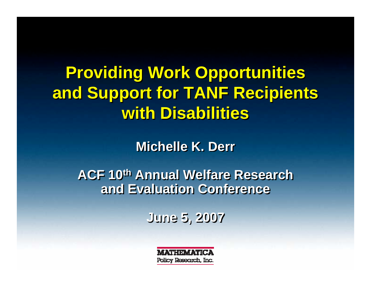**Providing Work Opportunities Providing Work Opportunities and Support for TANF Recipients and Support for TANF Recipients with Disabilitieswith Disabilities**

**Michelle K. Derr** 

**ACF 10th Annual Welfare Research ACF 10th Annual Welfare Research and Evaluation Conferenceand Evaluation Conference**

**June 5, 2007 June 5, 2007**

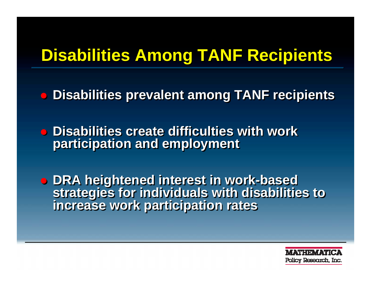# **Disabilities Among TANF Recipients**

 $\bigcirc$ **Disabilities prevalent among TANF recipients Disabilities prevalent among TANF recipients**

**• Disabilities create difficulties with work participation and employment participation and employment** 

! **DRA heightened interest in work-based**  ! **DRA heightened interest in work-based strategies for individuals with disabilities to strategies for individuals with disabilities to increase work participation rates increase work participation rates**

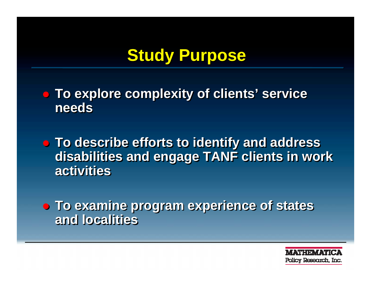# **Study Purpose**

! **To explore complexity of clients' service**  ! **To explore complexity of clients' service needsneeds**

! **To describe efforts to identify and address**  ! **To describe efforts to identify and address disabilities and engage TANF clients in work disabilities and engage TANF clients in work activitiesactivities**

! **To examine program experience of states**  ! **To examine program experience of states and localitiesand localities**

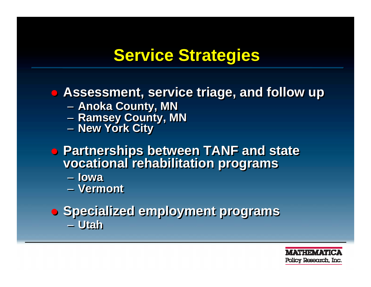## **Service Strategies Service Strategies**

#### ! **Assessment, service triage, and follow up** ! **Assessment, service triage, and follow up**

- – **Anoka County, MN**  $\mathcal{L}_{\mathcal{A}}$ **Anoka County, MN**
- **Ramsey County, MN** –**Ramsey County, MN**
- **New York City**  $\sim$ **New York City**
- ! **Partnerships between TANF and state**  ! **Partnerships between TANF and state vocational rehabilitation programs vocational rehabilitation programs**
	- **Iowa Iowa**
	- **Vermont Vermont**

#### ! **Specialized employment programs** ! **Specialized employment programs** – **Utah**– **Utah**

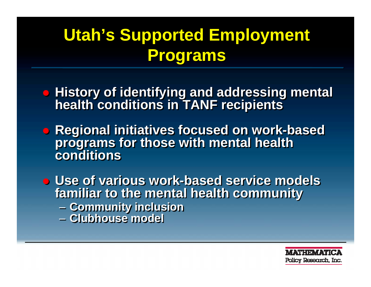# **Utah's Supported Employment Utah's Supported Employment Programs Programs**

- **History of identifying and addressing mental health conditions in TANF recipients health conditions in TANF recipients**
- ! **Regional initiatives focused on work-based**  ! **Regional initiatives focused on work-based programs for those with mental health programs for those with mental health conditionsconditions**
- ! **Use of various work-based service models**  ! **Use of various work-based service models familiar to the mental health community familiar to the mental health community** – **Community inclusion** – **Clubhouse model Community inclusion** – **Clubhouse model**

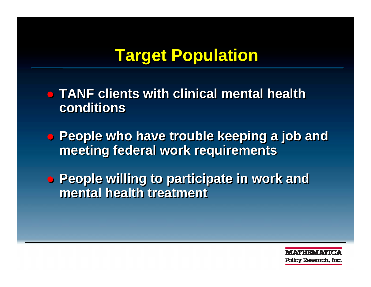## **Target Population Target Population**

- ! **TANF clients with clinical mental health**  ! **TANF clients with clinical mental health conditionsconditions**
- ! **People who have trouble keeping a job and**  ! **People who have trouble keeping a job and meeting federal work requirements meeting federal work requirements**
- ! **People willing to participate in work and**  ! **People willing to participate in work and mental health treatment mental health treatment**

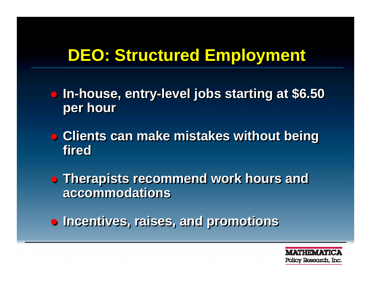# **DEO: Structured Employment DEO: Structured Employment**

- ! **In-house, entry-level jobs starting at \$6.50**  ! **In-house, entry-level jobs starting at \$6.50 per hour per hour**
- ! **Clients can make mistakes without being**  ! **Clients can make mistakes without being firedfired**
- ! **Therapists recommend work hours and**  ! **Therapists recommend work hours and accommodationsaccommodations**
- ! **Incentives, raises, and promotions** ! **Incentives, raises, and promotions**

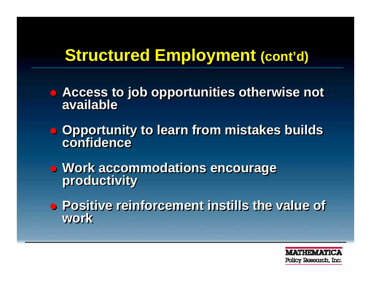### **Structured Employment (cont'd)**

- ! **Access to job opportunities otherwise not**  ! **Access to job opportunities otherwise not availableavailable**
- ! **Opportunity to learn from mistakes builds**  ! **Opportunity to learn from mistakes builds confidenceconfidence**
- ! **Work accommodations encourage**  ! **Work accommodations encourage productivity productivity**
- ! **Positive reinforcement instills the value of**  ! **Positive reinforcement instills the value of workwork**

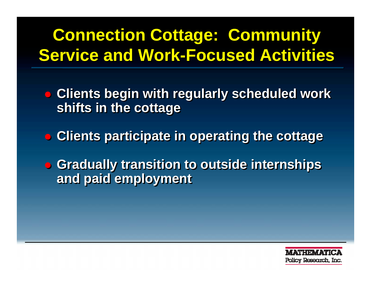# **Connection Cottage: Community Connection Cottage: Community Service and Work-Focused Activities Service and Work-Focused Activities**

- ! **Clients begin with regularly scheduled work**  ! **Clients begin with regularly scheduled work shifts in the cottage shifts in the cottage**
- ! **Clients participate in operating the cottage** ! **Clients participate in operating the cottage**
- ! **Gradually transition to outside internships**  ! **Gradually transition to outside internships and paid employment and paid employment**

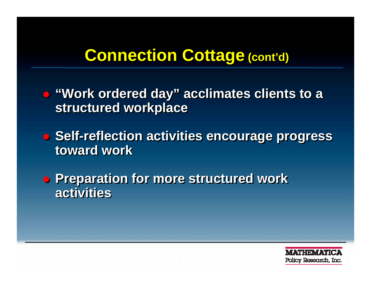### **Connection Cottage Connection Cottage(cont'd) (cont'd)**

- ! **"Work ordered day" acclimates clients to a**  ! **"Work ordered day" acclimates clients to a structured workplace structured workplace**
- ! **Self-reflection activities encourage progress**  ! **Self-reflection activities encourage progress toward worktoward work**
- **Preparation for more structured work activities activities**

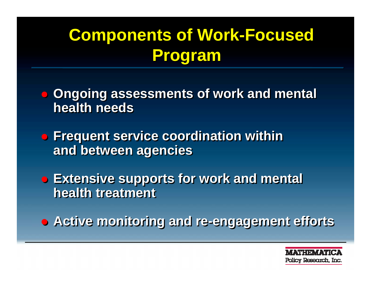# **Components of Work-Focused Components of Work-Focused Program Program**

- **. Ongoing assessments of work and mental health needshealth needs**
- **Frequent service coordination within and between agencies and between agencies**
- ! **Extensive supports for work and mental**  ! **Extensive supports for work and mental health treatment health treatment**
- ! **Active monitoring and re-engagement efforts** ! **Active monitoring and re-engagement efforts**

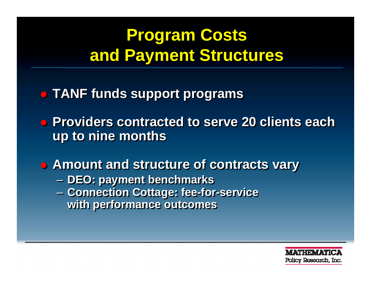# **Program Costs Program Costs and Payment Structures and Payment Structures**

- ! **TANF funds support programs** ! **TANF funds support programs**
- ! **Providers contracted to serve 20 clients each**  ! **Providers contracted to serve 20 clients each up to nine months up to nine months**

! **Amount and structure of contracts vary** ! **Amount and structure of contracts vary DEO: payment benchmarks** – **Connection Cottage: fee-for-service with performance outcomes with performance outcomes DEO: payment benchmarks** –**Connection Cottage: fee-for-service** 

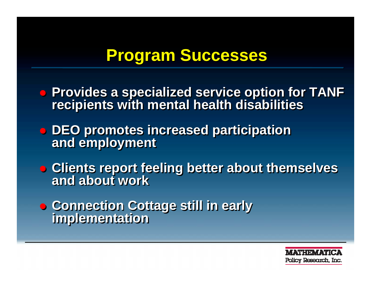### **Program Successes Program Successes**

- ! **Provides a specialized service option for TANF recipients with mental health disabilities • Provides a specialized service option for TANF recipients with mental health disabilities**
- ! **DEO promotes increased participation**  ! **DEO promotes increased participation and employment and employment**
- **Clients report feeling better about themselves and about workand about work**
- ! **Connection Cottage still in early**  ! **Connection Cottage still in early implementation implementation**